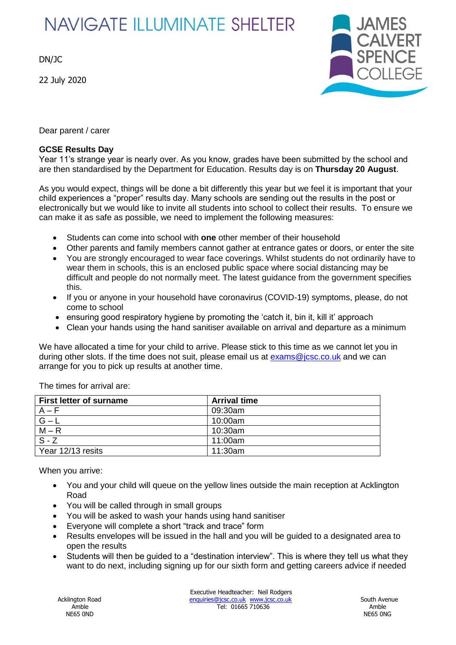## **NAVIGATE ILLUMINATE SHELTER**

DN/JC

22 July 2020



Dear parent / carer

## **GCSE Results Day**

Year 11's strange year is nearly over. As you know, grades have been submitted by the school and are then standardised by the Department for Education. Results day is on **Thursday 20 August**.

As you would expect, things will be done a bit differently this year but we feel it is important that your child experiences a "proper" results day. Many schools are sending out the results in the post or electronically but we would like to invite all students into school to collect their results. To ensure we can make it as safe as possible, we need to implement the following measures:

- Students can come into school with **one** other member of their household
- Other parents and family members cannot gather at entrance gates or doors, or enter the site
- You are strongly encouraged to wear face coverings. Whilst students do not ordinarily have to wear them in schools, this is an enclosed public space where social distancing may be difficult and people do not normally meet. The latest guidance from the government specifies this.
- If you or anyone in your household have coronavirus (COVID-19) symptoms, please, do not come to school
- ensuring good respiratory hygiene by promoting the 'catch it, bin it, kill it' approach
- Clean your hands using the hand sanitiser available on arrival and departure as a minimum

We have allocated a time for your child to arrive. Please stick to this time as we cannot let you in during other slots. If the time does not suit, please email us at  $exams@icsc.co.uk$  and we can arrange for you to pick up results at another time.

| First letter of surname | <b>Arrival time</b> |
|-------------------------|---------------------|
| $A - F$                 | 09:30am             |
| $ G - L$                | 10:00am             |
| $M - R$                 | 10:30am             |
| $S - Z$                 | 11:00am             |
| Year 12/13 resits       | 11:30am             |

The times for arrival are:

When you arrive:

- You and your child will queue on the yellow lines outside the main reception at Acklington Road
- You will be called through in small groups
- You will be asked to wash your hands using hand sanitiser
- Everyone will complete a short "track and trace" form
- Results envelopes will be issued in the hall and you will be guided to a designated area to open the results
- Students will then be guided to a "destination interview". This is where they tell us what they want to do next, including signing up for our sixth form and getting careers advice if needed